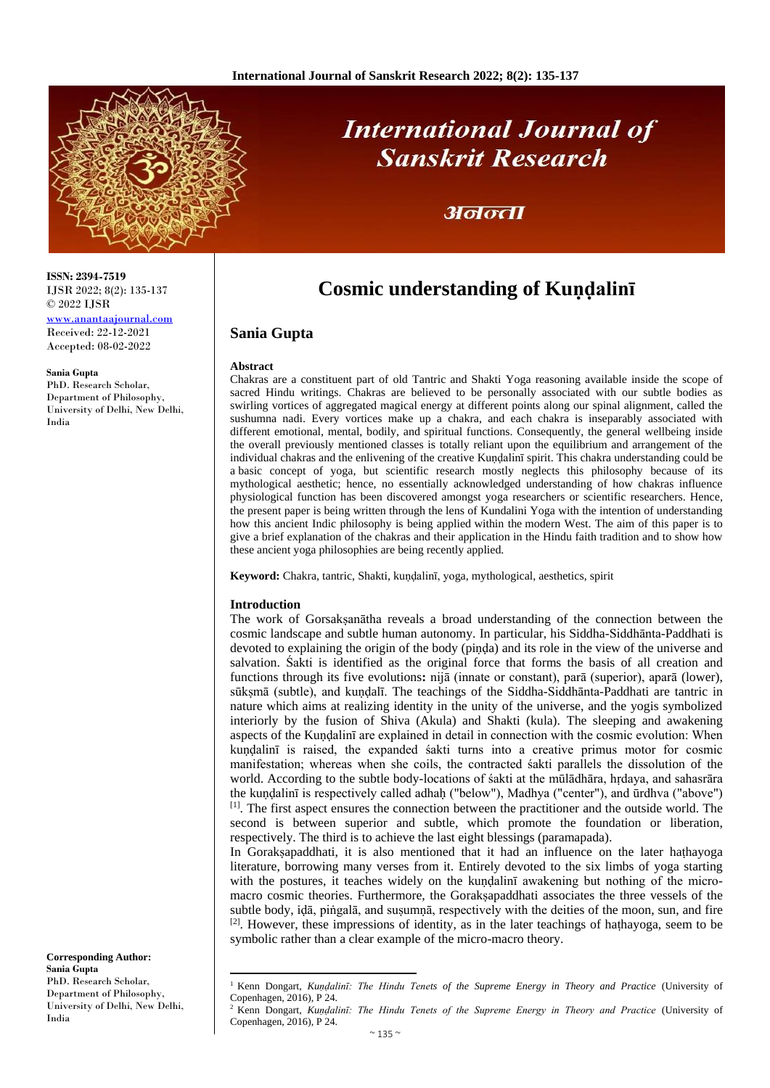

# **International Journal of Sanskrit Research**

## अनन्ता

## **Cosmic understanding of Kundalinī**

## **Sania Gupta**

#### **Abstract**

Chakras are a constituent part of old Tantric and Shakti Yoga reasoning available inside the scope of sacred Hindu writings. Chakras are believed to be personally associated with our subtle bodies as swirling vortices of aggregated magical energy at different points along our spinal alignment, called the sushumna nadi. Every vortices make up a chakra, and each chakra is inseparably associated with different emotional, mental, bodily, and spiritual functions. Consequently, the general wellbeing inside the overall previously mentioned classes is totally reliant upon the equilibrium and arrangement of the individual chakras and the enlivening of the creative Kuṇḍalinī spirit. This chakra understanding could be a basic concept of yoga, but scientific research mostly neglects this philosophy because of its mythological aesthetic; hence, no essentially acknowledged understanding of how chakras influence physiological function has been discovered amongst yoga researchers or scientific researchers. Hence, the present paper is being written through the lens of Kundalini Yoga with the intention of understanding how this ancient Indic philosophy is being applied within the modern West. The aim of this paper is to give a brief explanation of the chakras and their application in the Hindu faith tradition and to show how these ancient yoga philosophies are being recently applied.

**Keyword:** Chakra, tantric, Shakti, kuṇḍalinī, yoga, mythological, aesthetics, spirit

## **Introduction**

 $\overline{a}$ 

The work of Gorsakṣanātha reveals a broad understanding of the connection between the cosmic landscape and subtle human autonomy. In particular, his Siddha-Siddhānta-Paddhati is devoted to explaining the origin of the body (piṇḍa) and its role in the view of the universe and salvation. Śakti is identified as the original force that forms the basis of all creation and functions through its five evolutions**:** nijā (innate or constant), parā (superior), aparā (lower), sūksmā (subtle), and kundalī. The teachings of the Siddha-Siddhānta-Paddhati are tantric in nature which aims at realizing identity in the unity of the universe, and the yogis symbolized interiorly by the fusion of Shiva (Akula) and Shakti (kula). The sleeping and awakening aspects of the Kundalinī are explained in detail in connection with the cosmic evolution: When kuṇḍalinī is raised, the expanded śakti turns into a creative primus motor for cosmic manifestation; whereas when she coils, the contracted śakti parallels the dissolution of the world. According to the subtle body-locations of śakti at the mūlādhāra, hṛdaya, and sahasrāra the kundalinī is respectively called adhah ("below"), Madhya ("center"), and ūrdhva ("above") [1]. The first aspect ensures the connection between the practitioner and the outside world. The second is between superior and subtle, which promote the foundation or liberation, respectively. The third is to achieve the last eight blessings (paramapada).

In Goraksapaddhati, it is also mentioned that it had an influence on the later hathayoga literature, borrowing many verses from it. Entirely devoted to the six limbs of yoga starting with the postures, it teaches widely on the kundalini awakening but nothing of the micromacro cosmic theories. Furthermore, the Gorakṣapaddhati associates the three vessels of the subtle body, iḍā, piṅgalā, and suṣumṇā, respectively with the deities of the moon, sun, and fire  $[2]$ . However, these impressions of identity, as in the later teachings of hathayoga, seem to be symbolic rather than a clear example of the micro-macro theory.

**ISSN: 2394-7519** IJSR 2022; 8(2): 135-137 © 2022 IJSR

[www.anantaajournal.com](http://www.anantaajournal.com/) Received: 22-12-2021 Accepted: 08-02-2022

#### **Sania Gupta**

PhD. Research Scholar, Department of Philosophy, University of Delhi, New Delhi, India

**Corresponding Author: Sania Gupta** PhD. Research Scholar, Department of Philosophy, University of Delhi, New Delhi, India

<sup>1</sup> Kenn Dongart, *Kuṇḍalinī: The Hindu Tenets of the Supreme Energy in Theory and Practice* (University of Copenhagen, 2016), P 24.

<sup>2</sup> Kenn Dongart, *Kuṇḍalinī: The Hindu Tenets of the Supreme Energy in Theory and Practice* (University of Copenhagen, 2016), P 24.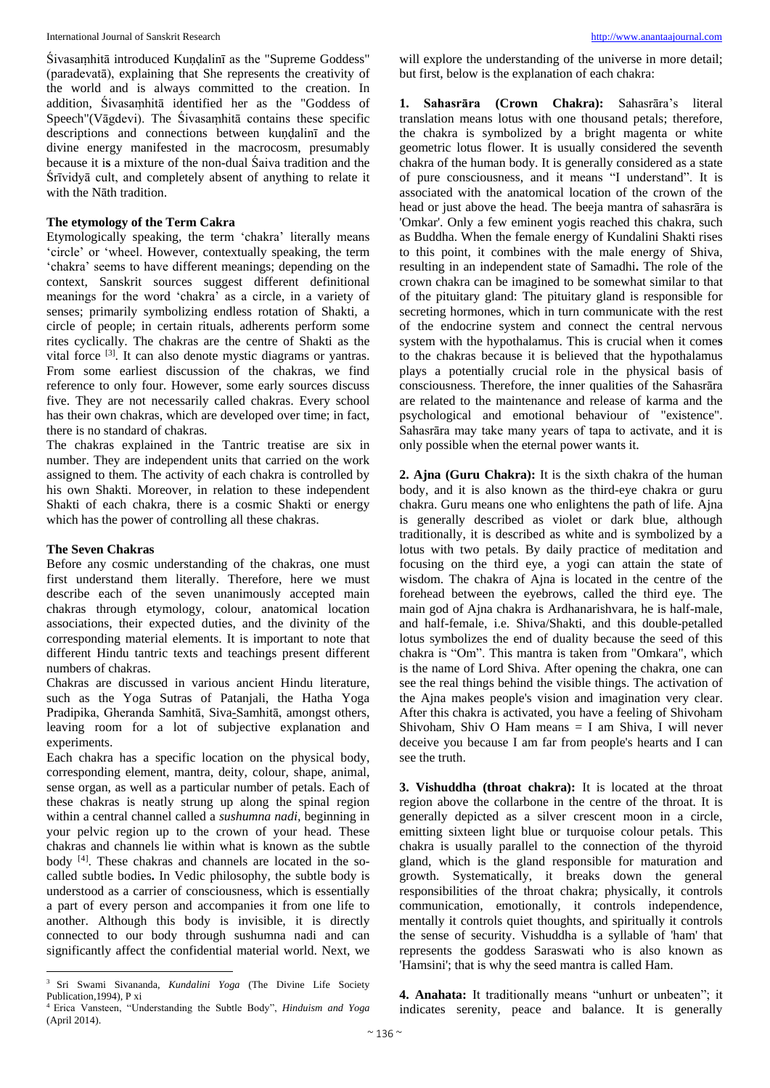Śivasaṃhitā introduced Kuṇḍalinī as the "Supreme Goddess" (paradevatā), explaining that She represents the creativity of the world and is always committed to the creation. In addition, Śivasaṃhitā identified her as the "Goddess of Speech"(Vāgdevi). The Śivasaṃhitā contains these specific descriptions and connections between kuṇḍalinī and the divine energy manifested in the macrocosm, presumably because it i**s** a mixture of the non-dual Śaiva tradition and the Śrīvidyā cult, and completely absent of anything to relate it with the Nāth tradition.

## **The etymology of the Term Cakra**

Etymologically speaking, the term 'chakra' literally means 'circle' or 'wheel. However, contextually speaking, the term 'chakra' seems to have different meanings; depending on the context, Sanskrit sources suggest different definitional meanings for the word 'chakra' as a circle, in a variety of senses; primarily symbolizing endless rotation of Shakti, a circle of people; in certain rituals, adherents perform some rites cyclically. The chakras are the centre of Shakti as the vital force <sup>[3]</sup>. It can also denote mystic diagrams or yantras. From some earliest discussion of the chakras, we find reference to only four. However, some early sources discuss five. They are not necessarily called chakras. Every school has their own chakras, which are developed over time; in fact, there is no standard of chakras.

The chakras explained in the Tantric treatise are six in number. They are independent units that carried on the work assigned to them. The activity of each chakra is controlled by his own Shakti. Moreover, in relation to these independent Shakti of each chakra, there is a cosmic Shakti or energy which has the power of controlling all these chakras.

#### **The Seven Chakras**

**.** 

Before any cosmic understanding of the chakras, one must first understand them literally. Therefore, here we must describe each of the seven unanimously accepted main chakras through etymology, colour, anatomical location associations, their expected duties, and the divinity of the corresponding material elements. It is important to note that different Hindu tantric texts and teachings present different numbers of chakras.

Chakras are discussed in various ancient Hindu literature, such as the Yoga Sutras of Patanjali, the Hatha Yoga Pradipika, Gheranda Samhitā, Siva-Samhitā, amongst others, leaving room for a lot of subjective explanation and experiments.

Each chakra has a specific location on the physical body, corresponding element, mantra, deity, colour, shape, animal, sense organ, as well as a particular number of petals. Each of these chakras is neatly strung up along the spinal region within a central channel called a *sushumna nadi,* beginning in your pelvic region up to the crown of your head. These chakras and channels lie within what is known as the subtle body<sup>[4]</sup>. These chakras and channels are located in the socalled subtle bodies**.** In Vedic philosophy, the subtle body is understood as a carrier of consciousness, which is essentially a part of every person and accompanies it from one life to another. Although this body is invisible, it is directly connected to our body through sushumna nadi and can significantly affect the confidential material world. Next, we

will explore the understanding of the universe in more detail; but first, below is the explanation of each chakra:

**1. Sahasrāra (Crown Chakra):** Sahasrāra's literal translation means lotus with one thousand petals; therefore, the chakra is symbolized by a bright magenta or white geometric lotus flower. It is usually considered the seventh chakra of the human body. It is generally considered as a state of pure consciousness, and it means "I understand". It is associated with the anatomical location of the crown of the head or just above the head. The beeja mantra of sahasrāra is 'Omkar'. Only a few eminent yogis reached this chakra, such as Buddha. When the female energy of Kundalini Shakti rises to this point, it combines with the male energy of Shiva, resulting in an independent state of Samadhi**.** The role of the crown chakra can be imagined to be somewhat similar to that of the pituitary gland: The pituitary gland is responsible for secreting hormones, which in turn communicate with the rest of the endocrine system and connect the central nervous system with the hypothalamus. This is crucial when it come**s** to the chakras because it is believed that the hypothalamus plays a potentially crucial role in the physical basis of consciousness. Therefore, the inner qualities of the Sahasrāra are related to the maintenance and release of karma and the psychological and emotional behaviour of "existence". Sahasrāra may take many years of tapa to activate, and it is only possible when the eternal power wants it.

**2. Ajna (Guru Chakra):** It is the sixth chakra of the human body, and it is also known as the third-eye chakra or guru chakra. Guru means one who enlightens the path of life. Ajna is generally described as violet or dark blue, although traditionally, it is described as white and is symbolized by a lotus with two petals. By daily practice of meditation and focusing on the third eye, a yogi can attain the state of wisdom. The chakra of Ajna is located in the centre of the forehead between the eyebrows, called the third eye. The main god of Ajna chakra is Ardhanarishvara, he is half-male, and half-female, i.e. Shiva/Shakti, and this double-petalled lotus symbolizes the end of duality because the seed of this chakra is "Om". This mantra is taken from "Omkara", which is the name of Lord Shiva. After opening the chakra, one can see the real things behind the visible things. The activation of the Ajna makes people's vision and imagination very clear. After this chakra is activated, you have a feeling of Shivoham Shivoham, Shiv O Ham means  $= I$  am Shiva, I will never deceive you because I am far from people's hearts and I can see the truth.

**3. Vishuddha (throat chakra):** It is located at the throat region above the collarbone in the centre of the throat. It is generally depicted as a silver crescent moon in a circle, emitting sixteen light blue or turquoise colour petals. This chakra is usually parallel to the connection of the thyroid gland, which is the gland responsible for maturation and growth. Systematically, it breaks down the general responsibilities of the throat chakra; physically, it controls communication, emotionally, it controls independence, mentally it controls quiet thoughts, and spiritually it controls the sense of security. Vishuddha is a syllable of 'ham' that represents the goddess Saraswati who is also known as 'Hamsini'; that is why the seed mantra is called Ham.

**4. Anahata:** It traditionally means "unhurt or unbeaten"; it indicates serenity, peace and balance. It is generally

<sup>3</sup> Sri Swami Sivananda, *Kundalini Yoga* (The Divine Life Society Publication,1994), P xi

<sup>4</sup> Erica Vansteen, "Understanding the Subtle Body", *Hinduism and Yoga*  (April 2014).